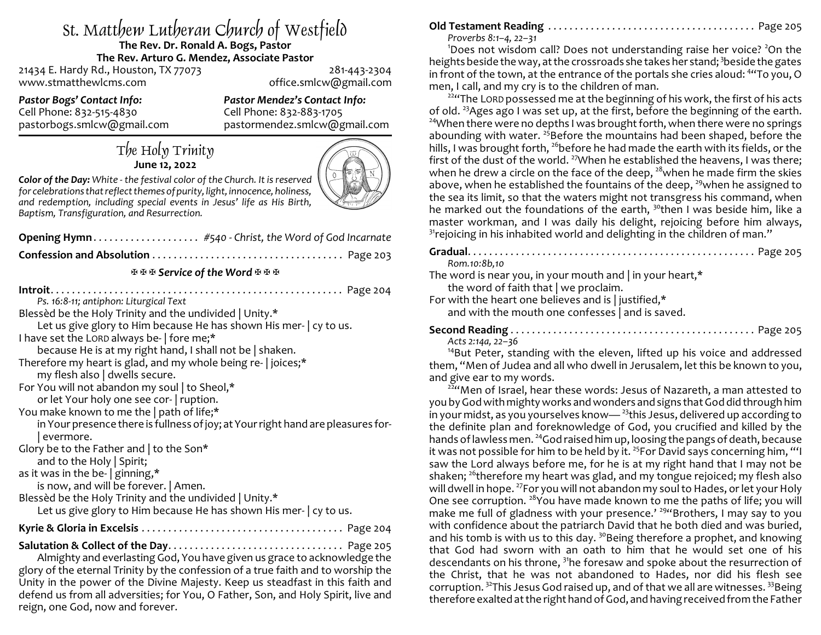# St. Matthew Lutheran Church of Westfield

#### **The Rev. Dr. Ronald A. Bogs, Pastor The Rev. Arturo G. Mendez, Associate Pastor**

21434 E. Hardy Rd., Houston, TX 77073 281-443-2304 www.stmatthewlcms.com office.smlcw@gmail.com

*Pastor Bogs' Contact Info: Pastor Mendez's Contact Info:* Cell Phone: 832-515-4830 Cell Phone: 832-883-1705<br>pastorbogs.smlcw@gmail.com pastormendez.smlcw@g

pastormendez.smlcw@gmail.com

## The Holy Trinity **June 12, 2022**



*Color of the Day: White - the festival color of the Church. It is reserved for celebrationsthat reflect themesof purity, light, innocence, holiness, and redemption, including special events in Jesus' life as His Birth, Baptism, Transfiguration, and Resurrection.*

| Opening Hymn #540 - Christ, the Word of God Incarnate                                                                                                                                                                                                                                                                                                                                                                                                                                                                                                                                                                                                                                                                                                                                                                                                       |
|-------------------------------------------------------------------------------------------------------------------------------------------------------------------------------------------------------------------------------------------------------------------------------------------------------------------------------------------------------------------------------------------------------------------------------------------------------------------------------------------------------------------------------------------------------------------------------------------------------------------------------------------------------------------------------------------------------------------------------------------------------------------------------------------------------------------------------------------------------------|
|                                                                                                                                                                                                                                                                                                                                                                                                                                                                                                                                                                                                                                                                                                                                                                                                                                                             |
| 포포포 Service of the Word 포포포                                                                                                                                                                                                                                                                                                                                                                                                                                                                                                                                                                                                                                                                                                                                                                                                                                 |
| Ps. 16:8-11; antiphon: Liturgical Text<br>Blessed be the Holy Trinity and the undivided   Unity.*<br>Let us give glory to Him because He has shown His mer-   cy to us.<br>I have set the LORD always be-   fore me;*<br>because He is at my right hand, I shall not be   shaken.<br>Therefore my heart is glad, and my whole being re-   joices;*<br>my flesh also   dwells secure.<br>For You will not abandon my soul   to Sheol,*<br>or let Your holy one see cor-   ruption.<br>You make known to me the   path of life;*<br>in Your presence there is fullness of joy; at Your right hand are pleasures for-<br>evermore.<br>Glory be to the Father and $\vert$ to the Son*<br>and to the Holy $\vert$ Spirit;<br>as it was in the be-   ginning,*<br>is now, and will be forever.   Amen.<br>Blessèd be the Holy Trinity and the undivided   Unity.* |
| Let us give glory to Him because He has shown His mer-   cy to us.                                                                                                                                                                                                                                                                                                                                                                                                                                                                                                                                                                                                                                                                                                                                                                                          |
|                                                                                                                                                                                                                                                                                                                                                                                                                                                                                                                                                                                                                                                                                                                                                                                                                                                             |
|                                                                                                                                                                                                                                                                                                                                                                                                                                                                                                                                                                                                                                                                                                                                                                                                                                                             |

Almighty and everlasting God, You have given us grace to acknowledge the glory of the eternal Trinity by the confession of a true faith and to worship the Unity in the power of the Divine Majesty. Keep us steadfast in this faith and defend us from all adversities; for You, O Father, Son, and Holy Spirit, live and reign, one God, now and forever.

## **Old Testament Reading** . . . . . . . . . . . . . . . . . . . . . . . . . . . . . . . . . . . . . . . Page 205

*Proverbs 8:1–4, 22–31*

<sup>1</sup>Does not wisdom call? Does not understanding raise her voice? <sup>2</sup>On the heights beside the way, at the crossroads she takes her stand; <sup>3</sup>beside the gates in front of the town, at the entrance of the portals she cries aloud: <sup>4</sup> "To you, O men, I call, and my cry is to the children of man.

<sup>224</sup> The LORD possessed me at the beginning of his work, the first of his acts of old.<sup>23</sup>Ages ago I was set up, at the first, before the beginning of the earth. <sup>24</sup>When there were no depths I was brought forth, when there were no springs abounding with water. <sup>25</sup>Before the mountains had been shaped, before the hills, I was brought forth, <sup>26</sup>before he had made the earth with its fields, or the first of the dust of the world. <sup>27</sup>When he established the heavens, I was there; when he drew a circle on the face of the deep,  $^{\rm 28}$ when he made firm the skies above, when he established the fountains of the deep, <sup>29</sup>when he assigned to the sea its limit, so that the waters might not transgress his command, when he marked out the foundations of the earth, <sup>30</sup>then I was beside him, like a master workman, and I was daily his delight, rejoicing before him always,  $^{31}$ rejoicing in his inhabited world and delighting in the children of man. $^{\prime\prime}$ 

**Gradual**. . . . . . . . . . . . . . . . . . . . . . . . . . . . . . . . . . . . . . . . . . . . . . . . . . . . . . Page 205 *Rom.10:8b,10* The word is near you, in your mouth and | in your heart,\* the word of faith that | we proclaim. For with the heart one believes and is | justified,\* and with the mouth one confesses | and is saved. **Second Reading** . . . . . . . . . . . . . . . . . . . . . . . . . . . . . . . . . . . . . . . . . . . . . . Page 205 *Acts 2:14a, 22–36*

<sup>14</sup>But Peter, standing with the eleven, lifted up his voice and addressed them, "Men of Judea and all who dwell in Jerusalem, let this be known to you, and give ear to my words.

 $^{22}$ "Men of Israel, hear these words: Jesus of Nazareth, a man attested to you byGodwith mightyworks andwonders and signs that God did through him in your midst, as you yourselves know— <sup>23</sup> this Jesus, delivered up according to the definite plan and foreknowledge of God, you crucified and killed by the hands of lawless men. <sup>24</sup>God raised him up, loosing the pangs of death, because it was not possible for him to be held by it. <sup>25</sup>For David says concerning him, "'I saw the Lord always before me, for he is at my right hand that I may not be shaken;  $^{26}$ therefore my heart was glad, and my tongue rejoiced; my flesh also will dwell in hope. <sup>27</sup>For you will not abandon my soul to Hades, or let your Holy One see corruption. <sup>28</sup> You have made known to me the paths of life; you will make me full of gladness with your presence.' <sup>294</sup>Brothers, I may say to you with confidence about the patriarch David that he both died and was buried, and his tomb is with us to this day.  $^{30}$ Being therefore a prophet, and knowing that God had sworn with an oath to him that he would set one of his descendants on his throne, <sup>31</sup>he foresaw and spoke about the resurrection of the Christ, that he was not abandoned to Hades, nor did his flesh see corruption. <sup>32</sup>This Jesus God raised up, and of that we all are witnesses. <sup>33</sup>Being therefore exalted at the right hand of God, and having received from the Father